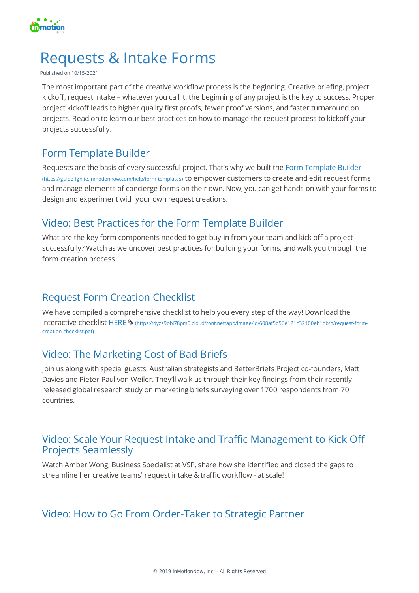

# Requests & Intake Forms

#### Published on 10/15/2021

The most important part of the creative workflow process is the beginning. Creative briefing, project kickoff, request intake – whatever you call it, the beginning of any project is the key to success. Proper project kickoff leads to higher quality first proofs, fewer proof versions, and faster turnaround on projects. Read on to learn our best practices on how to manage the request process to kickoff your projects successfully.

#### Form Template Builder

Requests are the basis of every successful project. That's why we built the Form Template Builder (https://guide-ignite.inmotionnow.com/help/form-templates) to empower customers to create and edit request forms and manage elements of concierge forms on their own. Now, you can get hands-on with your forms to design and experiment with your own request creations.

#### Video: Best Practices for the Form Template Builder

What are the key form components needed to get buy-in from your team and kick off a project successfully? Watch as we uncover best practices for building your forms, and walk you through the form creation process.

## Request Form Creation Checklist

We have compiled a comprehensive checklist to help you every step of the way! Download the interactive checklist HERE \ (https://dyzz9obi78pm5.cloudfront.net/app/image/id/608af5d56e121c32100eb1db/n/request-formcreation-checklist.pdf)

# Video: The Marketing Cost of Bad Briefs

Join us along with special guests, Australian strategists and BetterBriefs Project co-founders, Matt Davies and Pieter-Paul von Weiler. They'll walk us through their key findings from their recently released global research study on marketing briefs surveying over 1700 respondents from 70 countries.

#### Video: Scale Your Request Intake and Traffic Management to Kick Off Projects Seamlessly

Watch Amber Wong, Business Specialist at VSP, share how she identified and closed the gaps to streamline her creative teams' request intake & traffic workflow - at scale!

## Video: How to Go From Order-Taker to Strategic Partner